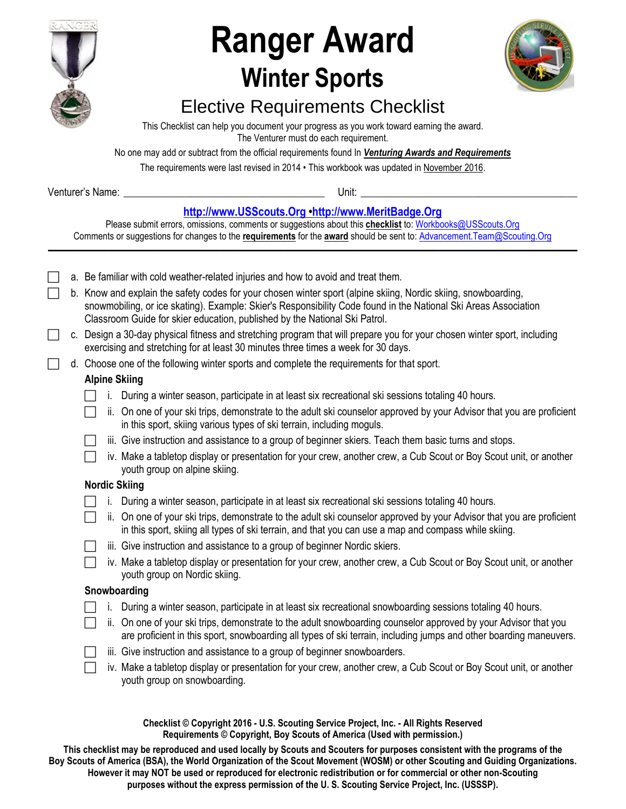

# **Ranger Award Winter Sports**



## Elective Requirements Checklist

This Checklist can help you document your progress as you work toward earning the award. The Venturer must do each requirement.

No one may add or subtract from the official requirements found In *Venturing Awards and Requirements* 

The requirements were last revised in 2014 • This workbook was updated in November 2016.

Venturer's Name: **Wenturer's Name: Wenturer's Name: Wenturer's Name: Wenturer's** Name: **Wenturer's** Name: **Wenturer's** Name: **Wenturer's** Name: **Wenturer's** Name: **Wenturer's** Name: **Wenturer's** Name: **Wenturer's** Na

### **[http://www.USScouts.Org](http://www.usscouts.org/) •[http://www.MeritBadge.Org](http://www.meritbadge.org/)**

Please submit errors, omissions, comments or suggestions about this **checklist** to: [Workbooks@USScouts.Org](mailto:Workbooks@usscouts.org?subject=Merit%20Badge%20Workbooks) Comments or suggestions for changes to the **requirements** for the **award** should be sent to: [Advancement.Team@Scouting.Org](mailto:Advancement.Team@Scouting.Org) *\_\_\_\_\_\_\_\_\_\_\_\_\_\_\_\_\_\_\_\_\_\_\_\_\_\_\_\_\_\_\_\_\_\_\_\_\_\_\_\_\_\_\_\_\_\_\_\_\_\_\_\_\_\_\_\_\_\_\_\_\_\_\_\_\_\_\_\_\_\_\_\_\_\_\_\_\_\_\_\_\_\_\_\_\_\_\_\_\_\_\_\_\_\_\_\_\_\_\_\_\_\_\_\_\_\_\_\_\_\_\_\_\_\_\_\_\_\_\_\_\_\_\_\_\_\_\_\_\_\_\_\_\_\_\_\_\_\_\_\_\_\_* 

|  |  |                                                                                                                                                                                                               | a. Be familiar with cold weather-related injuries and how to avoid and treat them.                                                                                                                                                                                                                              |
|--|--|---------------------------------------------------------------------------------------------------------------------------------------------------------------------------------------------------------------|-----------------------------------------------------------------------------------------------------------------------------------------------------------------------------------------------------------------------------------------------------------------------------------------------------------------|
|  |  |                                                                                                                                                                                                               | b. Know and explain the safety codes for your chosen winter sport (alpine skiing, Nordic skiing, snowboarding,<br>snowmobiling, or ice skating). Example: Skier's Responsibility Code found in the National Ski Areas Association<br>Classroom Guide for skier education, published by the National Ski Patrol. |
|  |  | c. Design a 30-day physical fitness and stretching program that will prepare you for your chosen winter sport, including<br>exercising and stretching for at least 30 minutes three times a week for 30 days. |                                                                                                                                                                                                                                                                                                                 |
|  |  |                                                                                                                                                                                                               | d. Choose one of the following winter sports and complete the requirements for that sport.                                                                                                                                                                                                                      |
|  |  |                                                                                                                                                                                                               | <b>Alpine Skiing</b>                                                                                                                                                                                                                                                                                            |
|  |  | i.                                                                                                                                                                                                            | During a winter season, participate in at least six recreational ski sessions totaling 40 hours.                                                                                                                                                                                                                |
|  |  |                                                                                                                                                                                                               | ii. On one of your ski trips, demonstrate to the adult ski counselor approved by your Advisor that you are proficient<br>in this sport, skiing various types of ski terrain, including moguls.                                                                                                                  |
|  |  |                                                                                                                                                                                                               | iii. Give instruction and assistance to a group of beginner skiers. Teach them basic turns and stops.                                                                                                                                                                                                           |
|  |  |                                                                                                                                                                                                               | iv. Make a tabletop display or presentation for your crew, another crew, a Cub Scout or Boy Scout unit, or another<br>youth group on alpine skiing.                                                                                                                                                             |
|  |  | <b>Nordic Skiing</b>                                                                                                                                                                                          |                                                                                                                                                                                                                                                                                                                 |
|  |  | L.                                                                                                                                                                                                            | During a winter season, participate in at least six recreational ski sessions totaling 40 hours.                                                                                                                                                                                                                |
|  |  |                                                                                                                                                                                                               | ii. On one of your ski trips, demonstrate to the adult ski counselor approved by your Advisor that you are proficient<br>in this sport, skiing all types of ski terrain, and that you can use a map and compass while skiing.                                                                                   |
|  |  |                                                                                                                                                                                                               | iii. Give instruction and assistance to a group of beginner Nordic skiers.                                                                                                                                                                                                                                      |
|  |  |                                                                                                                                                                                                               | iv. Make a tabletop display or presentation for your crew, another crew, a Cub Scout or Boy Scout unit, or another<br>youth group on Nordic skiing.                                                                                                                                                             |
|  |  | Snowboarding                                                                                                                                                                                                  |                                                                                                                                                                                                                                                                                                                 |
|  |  | i.                                                                                                                                                                                                            | During a winter season, participate in at least six recreational snowboarding sessions totaling 40 hours.                                                                                                                                                                                                       |
|  |  | İİ.                                                                                                                                                                                                           | On one of your ski trips, demonstrate to the adult snowboarding counselor approved by your Advisor that you<br>are proficient in this sport, snowboarding all types of ski terrain, including jumps and other boarding maneuvers.                                                                               |
|  |  |                                                                                                                                                                                                               | iii. Give instruction and assistance to a group of beginner snowboarders.                                                                                                                                                                                                                                       |
|  |  |                                                                                                                                                                                                               | iv. Make a tabletop display or presentation for your crew, another crew, a Cub Scout or Boy Scout unit, or another<br>youth group on snowboarding.                                                                                                                                                              |
|  |  |                                                                                                                                                                                                               |                                                                                                                                                                                                                                                                                                                 |

**Checklist © Copyright 2016 - U.S. Scouting Service Project, Inc. - All Rights Reserved Requirements © Copyright, Boy Scouts of America (Used with permission.)** 

**This checklist may be reproduced and used locally by Scouts and Scouters for purposes consistent with the programs of the Boy Scouts of America (BSA), the World Organization of the Scout Movement (WOSM) or other Scouting and Guiding Organizations. However it may NOT be used or reproduced for electronic redistribution or for commercial or other non-Scouting purposes without the express permission of the U. S. Scouting Service Project, Inc. (USSSP).**